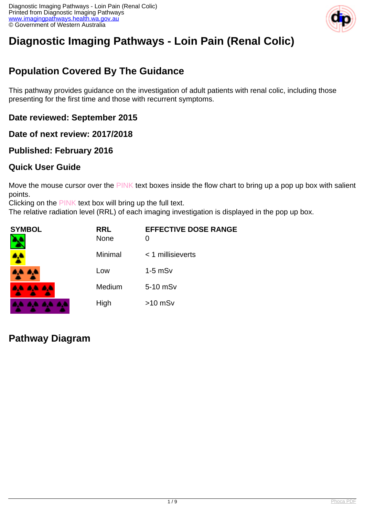

# **Diagnostic Imaging Pathways - Loin Pain (Renal Colic)**

# **Population Covered By The Guidance**

This pathway provides guidance on the investigation of adult patients with renal colic, including those presenting for the first time and those with recurrent symptoms.

### **Date reviewed: September 2015**

**Date of next review: 2017/2018**

### **Published: February 2016**

### **Quick User Guide**

Move the mouse cursor over the PINK text boxes inside the flow chart to bring up a pop up box with salient points.

Clicking on the PINK text box will bring up the full text.

The relative radiation level (RRL) of each imaging investigation is displayed in the pop up box.

| <b>SYMBOL</b> | <b>RRL</b><br><b>None</b> | <b>EFFECTIVE DOSE RANGE</b><br>0 |
|---------------|---------------------------|----------------------------------|
| <b>A</b>      | Minimal                   | $<$ 1 millisieverts              |
| 4,4 A,4       | Low                       | $1-5$ mS $v$                     |
| 8,6 8,6 8,6   | Medium                    | 5-10 mSv                         |
|               | High                      | $>10$ mSv                        |

### **Pathway Diagram**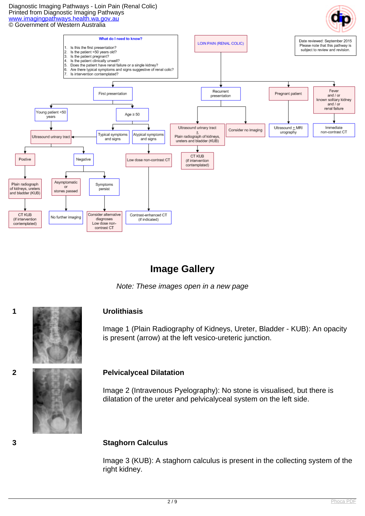Diagnostic Imaging Pathways - Loin Pain (Renal Colic) Printed from Diagnostic Imaging Pathways [www.imagingpathways.health.wa.gov.au](http://www.imagingpathways.health.wa.gov.au/) © Government of Western Australia



## **Image Gallery**

Note: These images open in a new page



Image 1 (Plain Radiography of Kidneys, Ureter, Bladder - KUB): An opacity is present (arrow) at the left vesico-ureteric junction.

### **2 Pelvicalyceal Dilatation**

Image 2 (Intravenous Pyelography): No stone is visualised, but there is dilatation of the ureter and pelvicalyceal system on the left side.

### **3 Staghorn Calculus**

Image 3 (KUB): A staghorn calculus is present in the collecting system of the right kidney.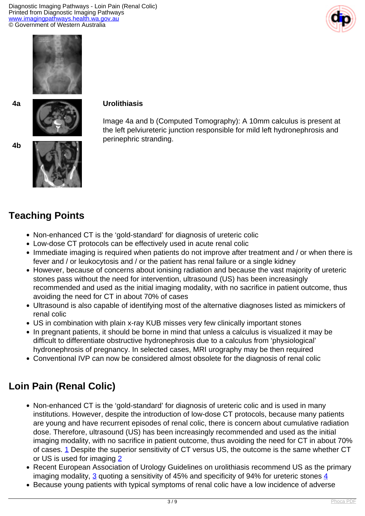Diagnostic Imaging Pathways - Loin Pain (Renal Colic) Printed from Diagnostic Imaging Pathways [www.imagingpathways.health.wa.gov.au](http://www.imagingpathways.health.wa.gov.au/) © Government of Western Australia





# **4a Urolithiasis**

Image 4a and b (Computed Tomography): A 10mm calculus is present at the left pelviureteric junction responsible for mild left hydronephrosis and perinephric stranding.





# **Teaching Points**

- Non-enhanced CT is the 'gold-standard' for diagnosis of ureteric colic
- Low-dose CT protocols can be effectively used in acute renal colic
- Immediate imaging is required when patients do not improve after treatment and / or when there is fever and / or leukocytosis and / or the patient has renal failure or a single kidney
- However, because of concerns about ionising radiation and because the vast majority of ureteric stones pass without the need for intervention, ultrasound (US) has been increasingly recommended and used as the initial imaging modality, with no sacrifice in patient outcome, thus avoiding the need for CT in about 70% of cases
- Ultrasound is also capable of identifying most of the alternative diagnoses listed as mimickers of renal colic
- US in combination with plain x-ray KUB misses very few clinically important stones
- In pregnant patients, it should be borne in mind that unless a calculus is visualized it may be difficult to differentiate obstructive hydronephrosis due to a calculus from 'physiological' hydronephrosis of pregnancy. In selected cases, MRI urography may be then required
- Conventional IVP can now be considered almost obsolete for the diagnosis of renal colic

# **Loin Pain (Renal Colic)**

- Non-enhanced CT is the 'gold-standard' for diagnosis of ureteric colic and is used in many institutions. However, despite the introduction of low-dose CT protocols, because many patients are young and have recurrent episodes of renal colic, there is concern about cumulative radiation dose. Therefore, ultrasound (US) has been increasingly recommended and used as the initial imaging modality, with no sacrifice in patient outcome, thus avoiding the need for CT in about 70% of cases. [1](index.php/imaging-pathways/gastrointestinal/acute-abdomen/acute-flank-loin-pain-renal-colic?tab=references#1) Despite the superior sensitivity of CT versus US, the outcome is the same whether CT or US is used for imaging [2](index.php/imaging-pathways/gastrointestinal/acute-abdomen/acute-flank-loin-pain-renal-colic?tab=references#2)
- Recent European Association of Urology Guidelines on urolithiasis recommend US as the primary imaging modality,  $\frac{3}{5}$  quoting a sensitivity of [4](index.php/imaging-pathways/gastrointestinal/acute-abdomen/acute-flank-loin-pain-renal-colic?tab=references#4)5% and specificity of 94% for ureteric stones  $\frac{4}{5}$
- Because young patients with typical symptoms of renal colic have a low incidence of adverse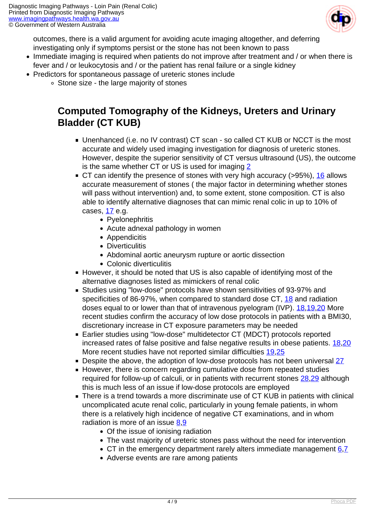

outcomes, there is a valid argument for avoiding acute imaging altogether, and deferring investigating only if symptoms persist or the stone has not been known to pass

- Immediate imaging is required when patients do not improve after treatment and / or when there is fever and / or leukocytosis and / or the patient has renal failure or a single kidney
- Predictors for spontaneous passage of ureteric stones include
	- Stone size the large majority of stones

## **Computed Tomography of the Kidneys, Ureters and Urinary Bladder (CT KUB)**

- Unenhanced (i.e. no IV contrast) CT scan so called CT KUB or NCCT is the most accurate and widely used imaging investigation for diagnosis of ureteric stones. However, despite the superior sensitivity of CT versus ultrasound (US), the outcome is the same whether CT or US is used for imaging [2](index.php/imaging-pathways/gastrointestinal/acute-abdomen/acute-flank-loin-pain-renal-colic?tab=references#2)
- $\blacksquare$  CT can identify the presence of stones with very high accuracy (>95%), [16](index.php/imaging-pathways/gastrointestinal/acute-abdomen/acute-flank-loin-pain-renal-colic?tab=references#16) allows accurate measurement of stones ( the major factor in determining whether stones will pass without intervention) and, to some extent, stone composition. CT is also able to identify alternative diagnoses that can mimic renal colic in up to 10% of cases,  $17$  e.g.
	- Pvelonephritis
	- Acute adnexal pathology in women
	- Appendicitis
	- Diverticulitis
	- Abdominal aortic aneurysm rupture or aortic dissection
	- Colonic diverticulitis
- However, it should be noted that US is also capable of identifying most of the alternative diagnoses listed as mimickers of renal colic
- Studies using "low-dose" protocols have shown sensitivities of 93-97% and specificities of 86-97%, when compared to standard dose CT, [18](index.php/imaging-pathways/gastrointestinal/acute-abdomen/acute-flank-loin-pain-renal-colic?tab=references#18) and radiation doses equal to or lower than that of intravenous pyelogram (IVP). [18](index.php/imaging-pathways/gastrointestinal/acute-abdomen/acute-flank-loin-pain-renal-colic?tab=references#18)[,19,](index.php/imaging-pathways/gastrointestinal/acute-abdomen/acute-flank-loin-pain-renal-colic?tab=references#19)[20](index.php/imaging-pathways/gastrointestinal/acute-abdomen/acute-flank-loin-pain-renal-colic?tab=references#20) More recent studies confirm the accuracy of low dose protocols in patients with a BMI30, discretionary increase in CT exposure parameters may be needed
- Earlier studies using "low-dose" multidetector CT (MDCT) protocols reported increased rates of false positive and false negative results in obese patients. [18,](index.php/imaging-pathways/gastrointestinal/acute-abdomen/acute-flank-loin-pain-renal-colic?tab=references#18)[20](index.php/imaging-pathways/gastrointestinal/acute-abdomen/acute-flank-loin-pain-renal-colic?tab=references#20) More recent studies have not reported similar difficulties [19,](index.php/imaging-pathways/gastrointestinal/acute-abdomen/acute-flank-loin-pain-renal-colic?tab=references#19)[25](index.php/imaging-pathways/gastrointestinal/acute-abdomen/acute-flank-loin-pain-renal-colic?tab=references#25)
- Despite the above, the adoption of low-dose protocols has not been universal [27](index.php/imaging-pathways/gastrointestinal/acute-abdomen/acute-flank-loin-pain-renal-colic?tab=references#27)
- However, there is concern regarding cumulative dose from repeated studies required for follow-up of calculi, or in patients with recurrent stones [28,](index.php/imaging-pathways/gastrointestinal/acute-abdomen/acute-flank-loin-pain-renal-colic?tab=references#28)[29](index.php/imaging-pathways/gastrointestinal/acute-abdomen/acute-flank-loin-pain-renal-colic?tab=references#29) although this is much less of an issue if low-dose protocols are employed
- There is a trend towards a more discriminate use of CT KUB in patients with clinical uncomplicated acute renal colic, particularly in young female patients, in whom there is a relatively high incidence of negative CT examinations, and in whom radiation is more of an issue [8](index.php/imaging-pathways/gastrointestinal/acute-abdomen/acute-flank-loin-pain-renal-colic?tab=references#8),[9](index.php/imaging-pathways/gastrointestinal/acute-abdomen/acute-flank-loin-pain-renal-colic?tab=references#9)
	- Of the issue of ionising radiation
	- The vast majority of ureteric stones pass without the need for intervention
	- $\bullet$  CT in the emergency department rarely alters immediate management  $6.7$  $6.7$
	- Adverse events are rare among patients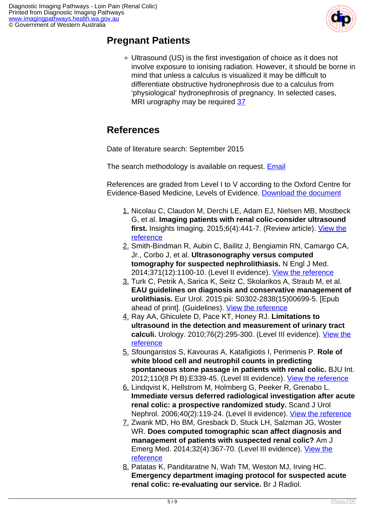

### **Pregnant Patients**

Ultrasound (US) is the first investigation of choice as it does not involve exposure to ionising radiation. However, it should be borne in mind that unless a calculus is visualized it may be difficult to differentiate obstructive hydronephrosis due to a calculus from 'physiological' hydronephrosis of pregnancy. In selected cases, MRI urography may be required [37](index.php/imaging-pathways/gastrointestinal/acute-abdomen/acute-flank-loin-pain-renal-colic?tab=references#37)

# **References**

Date of literature search: September 2015

The search methodology is available on request. [Email](index.php/contact-us)

References are graded from Level I to V according to the Oxford Centre for Evidence-Based Medicine, Levels of Evidence. [Download the document](http://www.cebm.net/wp-content/uploads/2014/06/CEBM-Levels-of-Evidence-2.1.pdf)

- 1. Nicolau C, Claudon M, Derchi LE, Adam EJ, Nielsen MB, Mostbeck G, et al. **Imaging patients with renal colic-consider ultrasound first.** Insights Imaging. 2015;6(4):441-7. (Review article). [View the](http://www.ncbi.nlm.nih.gov/pubmed/25994497) [reference](http://www.ncbi.nlm.nih.gov/pubmed/25994497)
- 2. Smith-Bindman R, Aubin C, Bailitz J, Bengiamin RN, Camargo CA, Jr., Corbo J, et al. **Ultrasonography versus computed tomography for suspected nephrolithiasis.** N Engl J Med. 2014;371(12):1100-10. (Level II evidence). [View the reference](http://www.ncbi.nlm.nih.gov/pubmed/25229916)
- 3. Turk C, Petrik A, Sarica K, Seitz C, Skolarikos A, Straub M, et al. **EAU guidelines on diagnosis and conservative management of urolithiasis.** Eur Urol. 2015:pii: S0302-2838(15)00699-5. [Epub ahead of print]. (Guidelines). [View the reference](http://www.ncbi.nlm.nih.gov/pubmed/26318710)
- 4. Ray AA, Ghiculete D, Pace KT, Honey RJ. **Limitations to ultrasound in the detection and measurement of urinary tract calculi.** Urology. 2010;76(2):295-300. (Level III evidence). [View the](http://www.ncbi.nlm.nih.gov/pubmed/20206970) [reference](http://www.ncbi.nlm.nih.gov/pubmed/20206970)
- 5. Sfoungaristos S, Kavouras A, Katafigiotis I, Perimenis P. **Role of white blood cell and neutrophil counts in predicting spontaneous stone passage in patients with renal colic.** BJU Int. 2012;110(8 Pt B):E339-45. (Level III evidence). [View the reference](http://www.ncbi.nlm.nih.gov/pubmed/22372435)
- 6. Lindqvist K, Hellstrom M, Holmberg G, Peeker R, Grenabo L. **Immediate versus deferred radiological investigation after acute renal colic: a prospective randomized study.** Scand J Urol Nephrol. 2006;40(2):119-24. (Level II evidence). [View the reference](http://www.ncbi.nlm.nih.gov/pubmed/16608809)
- 7. Zwank MD, Ho BM, Gresback D, Stuck LH, Salzman JG, Woster WR. **Does computed tomographic scan affect diagnosis and management of patients with suspected renal colic?** Am J Emerg Med. 2014;32(4):367-70. (Level III evidence). [View the](http://www.ncbi.nlm.nih.gov/pubmed/24440589) [reference](http://www.ncbi.nlm.nih.gov/pubmed/24440589)
- 8. Patatas K, Panditaratne N, Wah TM, Weston MJ, Irving HC. **Emergency department imaging protocol for suspected acute renal colic: re-evaluating our service.** Br J Radiol.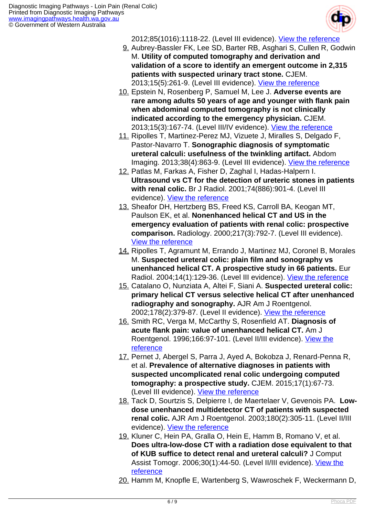

2012;85(1016):1118-22. (Level III evidence). [View the reference](http://www.ncbi.nlm.nih.gov/pubmed/22496069)

- 9. Aubrey-Bassler FK, Lee SD, Barter RB, Asghari S, Cullen R, Godwin M. **Utility of computed tomography and derivation and validation of a score to identify an emergent outcome in 2,315 patients with suspected urinary tract stone.** CJEM. 2013;15(5):261-9. (Level III evidence). [View the reference](http://www.ncbi.nlm.nih.gov/pubmed/23972131)
- 10. Epstein N, Rosenberg P, Samuel M, Lee J. **Adverse events are rare among adults 50 years of age and younger with flank pain when abdominal computed tomography is not clinically indicated according to the emergency physician.** CJEM. 2013;15(3):167-74. (Level III/IV evidence). [View the reference](http://www.ncbi.nlm.nih.gov/pubmed/23663464)
- 11. Ripolles T, Martinez-Perez MJ, Vizuete J, Miralles S, Delgado F, Pastor-Navarro T. **Sonographic diagnosis of symptomatic ureteral calculi: usefulness of the twinkling artifact.** Abdom Imaging. 2013;38(4):863-9. (Level III evidence). [View the reference](http://www.ncbi.nlm.nih.gov/pubmed/23011549)
- 12. Patlas M, Farkas A, Fisher D, Zaghal I, Hadas-Halpern I. **Ultrasound vs CT for the detection of ureteric stones in patients with renal colic.** Br J Radiol. 2001;74(886):901-4. (Level III evidence). [View the reference](http://www.ncbi.nlm.nih.gov/pubmed/11675305)
- 13. Sheafor DH, Hertzberg BS, Freed KS, Carroll BA, Keogan MT, Paulson EK, et al. **Nonenhanced helical CT and US in the emergency evaluation of patients with renal colic: prospective comparison.** Radiology. 2000;217(3):792-7. (Level III evidence). [View the reference](http://www.ncbi.nlm.nih.gov/pubmed/11110945)
- 14. Ripolles T, Agramunt M, Errando J, Martinez MJ, Coronel B, Morales M. **Suspected ureteral colic: plain film and sonography vs unenhanced helical CT. A prospective study in 66 patients.** Eur Radiol. 2004;14(1):129-36. (Level III evidence). [View the reference](http://www.ncbi.nlm.nih.gov/pubmed/12819916)
- 15. Catalano O, Nunziata A, Altei F, Siani A. **Suspected ureteral colic: primary helical CT versus selective helical CT after unenhanced radiography and sonography.** AJR Am J Roentgenol. 2002;178(2):379-87. (Level II evidence). [View the reference](http://www.ncbi.nlm.nih.gov/pubmed/11804898)
- 16. Smith RC, Verga M, McCarthy S, Rosenfield AT. **Diagnosis of acute flank pain: value of unenhanced helical CT.** Am J Roentgenol. 1996;166:97-101. (Level II/III evidence). [View the](http://www.ncbi.nlm.nih.gov/pubmed/8571915) [reference](http://www.ncbi.nlm.nih.gov/pubmed/8571915)
- 17. Pernet J, Abergel S, Parra J, Ayed A, Bokobza J, Renard-Penna R, et al. **Prevalence of alternative diagnoses in patients with suspected uncomplicated renal colic undergoing computed tomography: a prospective study.** CJEM. 2015;17(1):67-73. (Level III evidence). [View the reference](http://www.ncbi.nlm.nih.gov/pubmed/25781386)
- 18. Tack D, Sourtzis S, Delpierre I, de Maertelaer V, Gevenois PA. **Lowdose unenhanced multidetector CT of patients with suspected renal colic.** AJR Am J Roentgenol. 2003;180(2):305-11. (Level II/III evidence). [View the reference](http://www.ncbi.nlm.nih.gov/pubmed/12540420)
- 19. Kluner C, Hein PA, Gralla O, Hein E, Hamm B, Romano V, et al. **Does ultra-low-dose CT with a radiation dose equivalent to that of KUB suffice to detect renal and ureteral calculi?** J Comput Assist Tomogr. 2006;30(1):44-50. (Level II/III evidence). [View the](http://www.ncbi.nlm.nih.gov/pubmed/16365571) **[reference](http://www.ncbi.nlm.nih.gov/pubmed/16365571)**
- 20. Hamm M, Knopfle E, Wartenberg S, Wawroschek F, Weckermann D,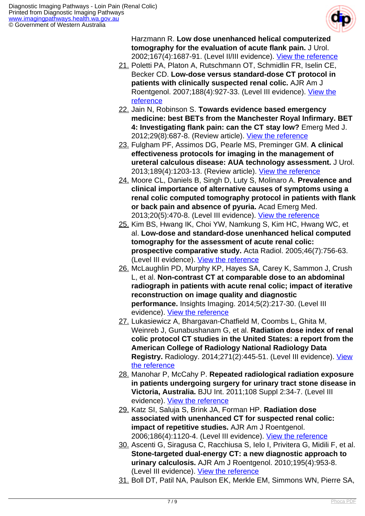

Harzmann R. **Low dose unenhanced helical computerized tomography for the evaluation of acute flank pain.** J Urol. 2002;167(4):1687-91. (Level II/III evidence). [View the reference](http://www.ncbi.nlm.nih.gov/pubmed/11912388)

- 21. Poletti PA, Platon A, Rutschmann OT, Schmidlin FR, Iselin CE, Becker CD. **Low-dose versus standard-dose CT protocol in patients with clinically suspected renal colic.** AJR Am J Roentgenol. 2007;188(4):927-33. (Level III evidence). [View the](http://www.ncbi.nlm.nih.gov/pubmed/17377025) [reference](http://www.ncbi.nlm.nih.gov/pubmed/17377025)
- 22. Jain N, Robinson S. **Towards evidence based emergency medicine: best BETs from the Manchester Royal Infirmary. BET 4: Investigating flank pain: can the CT stay low?** Emerg Med J. 2012;29(8):687-8. (Review article). [View the reference](http://www.ncbi.nlm.nih.gov/pubmed/22787241)
- 23. Fulgham PF, Assimos DG, Pearle MS, Preminger GM. **A clinical effectiveness protocols for imaging in the management of ureteral calculous disease: AUA technology assessment.** J Urol. 2013;189(4):1203-13. (Review article). [View the reference](http://www.ncbi.nlm.nih.gov/pubmed/23085059)
- 24. Moore CL, Daniels B, Singh D, Luty S, Molinaro A. **Prevalence and clinical importance of alternative causes of symptoms using a renal colic computed tomography protocol in patients with flank or back pain and absence of pyuria.** Acad Emerg Med. 2013;20(5):470-8. (Level III evidence). [View the reference](http://www.ncbi.nlm.nih.gov/pubmed/23672361)
- 25. Kim BS, Hwang IK, Choi YW, Namkung S, Kim HC, Hwang WC, et al. **Low-dose and standard-dose unenhanced helical computed tomography for the assessment of acute renal colic: prospective comparative study.** Acta Radiol. 2005;46(7):756-63. (Level III evidence). [View the reference](http://www.ncbi.nlm.nih.gov/pubmed/16372698)
- 26. McLaughlin PD, Murphy KP, Hayes SA, Carey K, Sammon J, Crush L, et al. **Non-contrast CT at comparable dose to an abdominal radiograph in patients with acute renal colic; impact of iterative reconstruction on image quality and diagnostic performance.** Insights Imaging. 2014;5(2):217-30. (Level III evidence). [View the reference](http://www.ncbi.nlm.nih.gov/pubmed/24500656)
- 27. Lukasiewicz A, Bhargavan-Chatfield M, Coombs L, Ghita M, Weinreb J, Gunabushanam G, et al. **Radiation dose index of renal colic protocol CT studies in the United States: a report from the American College of Radiology National Radiology Data Registry.** Radiology. 2014;271(2):445-51. (Level III evidence). [View](http://www.ncbi.nlm.nih.gov/pubmed/24484064) [the reference](http://www.ncbi.nlm.nih.gov/pubmed/24484064)
- 28. Manohar P, McCahy P. **Repeated radiological radiation exposure in patients undergoing surgery for urinary tract stone disease in Victoria, Australia.** BJU Int. 2011;108 Suppl 2:34-7. (Level III evidence). [View the reference](http://www.ncbi.nlm.nih.gov/pubmed/22085124)
- 29. Katz SI, Saluja S, Brink JA, Forman HP. **Radiation dose associated with unenhanced CT for suspected renal colic: impact of repetitive studies.** AJR Am J Roentgenol. 2006;186(4):1120-4. (Level III evidence). [View the reference](http://www.ncbi.nlm.nih.gov/pubmed/16554590)
- 30. Ascenti G, Siragusa C, Racchiusa S, Ielo I, Privitera G, Midili F, et al. **Stone-targeted dual-energy CT: a new diagnostic approach to urinary calculosis.** AJR Am J Roentgenol. 2010;195(4):953-8. (Level III evidence). [View the reference](http://www.ncbi.nlm.nih.gov/pubmed/20858824)
- 31. Boll DT, Patil NA, Paulson EK, Merkle EM, Simmons WN, Pierre SA,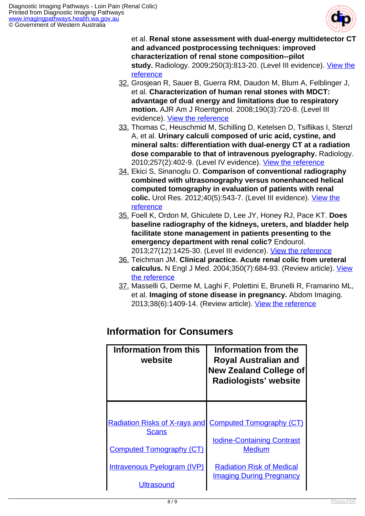

et al. **Renal stone assessment with dual-energy multidetector CT and advanced postprocessing techniques: improved characterization of renal stone composition--pilot study.** Radiology. 2009;250(3):813-20. (Level III evidence). *View the* [reference](http://www.ncbi.nlm.nih.gov/pubmed/19244048)

- 32. Grosjean R, Sauer B, Guerra RM, Daudon M, Blum A, Felblinger J, et al. **Characterization of human renal stones with MDCT: advantage of dual energy and limitations due to respiratory motion.** AJR Am J Roentgenol. 2008;190(3):720-8. (Level III evidence). [View the reference](http://www.ncbi.nlm.nih.gov/pubmed/18287444)
- 33. Thomas C, Heuschmid M, Schilling D, Ketelsen D, Tsiflikas I, Stenzl A, et al. **Urinary calculi composed of uric acid, cystine, and mineral salts: differentiation with dual-energy CT at a radiation dose comparable to that of intravenous pyelography.** Radiology. 2010;257(2):402-9. (Level IV evidence). [View the reference](http://www.ncbi.nlm.nih.gov/pubmed/20807847)
- 34. Ekici S, Sinanoglu O. **Comparison of conventional radiography combined with ultrasonography versus nonenhanced helical computed tomography in evaluation of patients with renal colic.** Urol Res. 2012;40(5):543-7. (Level III evidence). [View the](http://www.ncbi.nlm.nih.gov/pubmed/22415439) [reference](http://www.ncbi.nlm.nih.gov/pubmed/22415439)
- 35. Foell K, Ordon M, Ghiculete D, Lee JY, Honey RJ, Pace KT. **Does baseline radiography of the kidneys, ureters, and bladder help facilitate stone management in patients presenting to the emergency department with renal colic?** Endourol. 2013;27(12):1425-30. (Level III evidence). [View the reference](http://www.ncbi.nlm.nih.gov/pubmed/24219633)
- 36. Teichman JM. **Clinical practice. Acute renal colic from ureteral calculus.** N Engl J Med. 2004;350(7):684-93. (Review article). [View](http://www.ncbi.nlm.nih.gov/pubmed/14960744) [the reference](http://www.ncbi.nlm.nih.gov/pubmed/14960744)
- 37. Masselli G, Derme M, Laghi F, Polettini E, Brunelli R, Framarino ML, et al. **Imaging of stone disease in pregnancy.** Abdom Imaging. 2013;38(6):1409-14. (Review article). [View the reference](http://www.ncbi.nlm.nih.gov/pubmed/23771120)

| Information from this<br>website     | Information from the<br><b>Royal Australian and</b><br><b>New Zealand College of</b><br>Radiologists' website |
|--------------------------------------|---------------------------------------------------------------------------------------------------------------|
| <b>Radiation Risks of X-rays and</b> | <b>Computed Tomography (CT)</b>                                                                               |
| <b>Scans</b>                         | <b>Iodine-Containing Contrast</b>                                                                             |
| <b>Computed Tomography (CT)</b>      | <b>Medium</b>                                                                                                 |
| Intravenous Pyelogram (IVP)          | <b>Radiation Risk of Medical</b>                                                                              |
| <b>Ultrasound</b>                    | <b>Imaging During Pregnancy</b>                                                                               |

## **Information for Consumers**